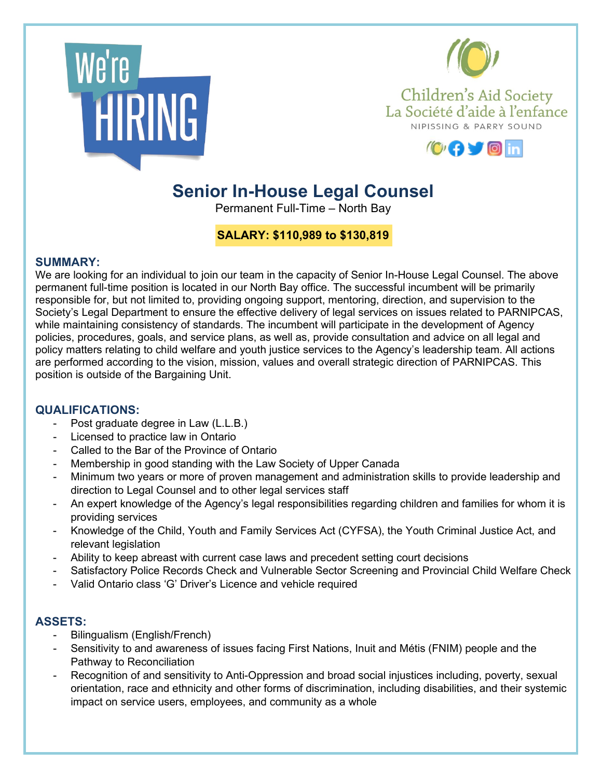



Children's Aid Society La Société d'aide à l'enfance NIPISSING & PARRY SOUND



# **Senior In-House Legal Counsel**

Permanent Full-Time – North Bay

# **SALARY: \$110,989 to \$130,819**

#### **SUMMARY:**

We are looking for an individual to join our team in the capacity of Senior In-House Legal Counsel. The above permanent full-time position is located in our North Bay office. The successful incumbent will be primarily responsible for, but not limited to, providing ongoing support, mentoring, direction, and supervision to the Society's Legal Department to ensure the effective delivery of legal services on issues related to PARNIPCAS, while maintaining consistency of standards. The incumbent will participate in the development of Agency policies, procedures, goals, and service plans, as well as, provide consultation and advice on all legal and policy matters relating to child welfare and youth justice services to the Agency's leadership team. All actions are performed according to the vision, mission, values and overall strategic direction of PARNIPCAS. This position is outside of the Bargaining Unit.

## **QUALIFICATIONS:**

- Post graduate degree in Law (L.L.B.)
- Licensed to practice law in Ontario
- Called to the Bar of the Province of Ontario
- Membership in good standing with the Law Society of Upper Canada
- Minimum two years or more of proven management and administration skills to provide leadership and direction to Legal Counsel and to other legal services staff
- An expert knowledge of the Agency's legal responsibilities regarding children and families for whom it is providing services
- Knowledge of the Child, Youth and Family Services Act (CYFSA), the Youth Criminal Justice Act, and relevant legislation
- Ability to keep abreast with current case laws and precedent setting court decisions
- Satisfactory Police Records Check and Vulnerable Sector Screening and Provincial Child Welfare Check
- Valid Ontario class 'G' Driver's Licence and vehicle required

## **ASSETS:**

- Bilingualism (English/French)
- Sensitivity to and awareness of issues facing First Nations, Inuit and Métis (FNIM) people and the Pathway to Reconciliation
- Recognition of and sensitivity to Anti-Oppression and broad social injustices including, poverty, sexual orientation, race and ethnicity and other forms of discrimination, including disabilities, and their systemic impact on service users, employees, and community as a whole